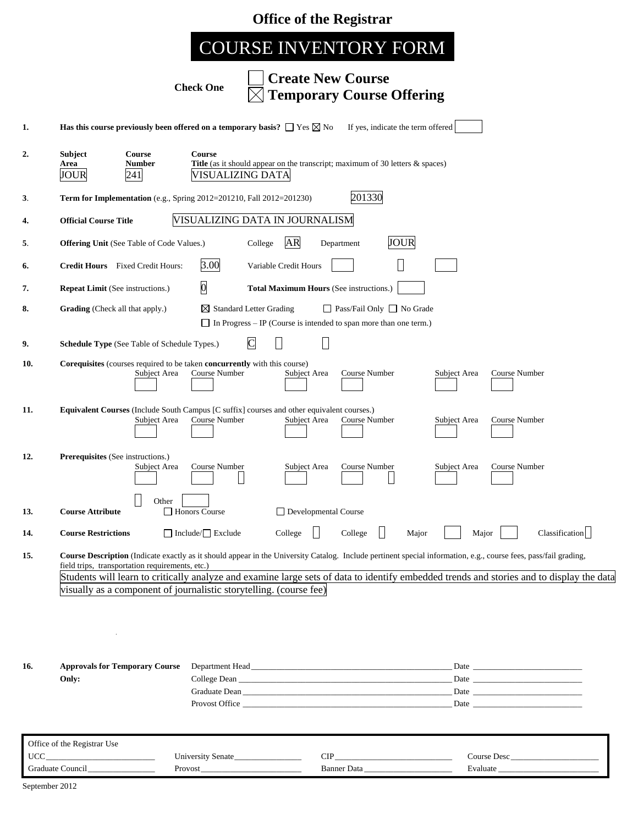|  |  |  | <b>Office of the Registrar</b> |
|--|--|--|--------------------------------|
|--|--|--|--------------------------------|

# COURSE INVENTORY FORM

**Check One**

# **Create New Course Temporary Course Offering**

| 2.  | <b>Subject</b><br>Area<br>JOUR                   | Course<br>Number<br>241                                                                                 | Course<br>VISUALIZING DATA     | <b>Title</b> (as it should appear on the transcript; maximum of 30 letters & spaces)                            |                                           |              |                                                                                                                                                                                                                                                                                                              |
|-----|--------------------------------------------------|---------------------------------------------------------------------------------------------------------|--------------------------------|-----------------------------------------------------------------------------------------------------------------|-------------------------------------------|--------------|--------------------------------------------------------------------------------------------------------------------------------------------------------------------------------------------------------------------------------------------------------------------------------------------------------------|
| 3.  |                                                  | Term for Implementation (e.g., Spring 2012=201210, Fall 2012=201230)                                    |                                |                                                                                                                 | 201330                                    |              |                                                                                                                                                                                                                                                                                                              |
| 4.  | <b>Official Course Title</b>                     |                                                                                                         |                                | VISUALIZING DATA IN JOURNALISM                                                                                  |                                           |              |                                                                                                                                                                                                                                                                                                              |
| 5.  |                                                  | <b>Offering Unit (See Table of Code Values.)</b>                                                        |                                | <b>AR</b><br>College                                                                                            | <b>JOUR</b><br>Department                 |              |                                                                                                                                                                                                                                                                                                              |
| 6.  |                                                  | <b>Credit Hours</b> Fixed Credit Hours:                                                                 | 3.00                           | Variable Credit Hours                                                                                           |                                           |              |                                                                                                                                                                                                                                                                                                              |
| 7.  | <b>Repeat Limit</b> (See instructions.)          |                                                                                                         | $\overline{0}$                 | Total Maximum Hours (See instructions.)                                                                         |                                           |              |                                                                                                                                                                                                                                                                                                              |
| 8.  | <b>Grading</b> (Check all that apply.)           |                                                                                                         |                                | $\boxtimes$ Standard Letter Grading<br>$\Box$ In Progress – IP (Course is intended to span more than one term.) | □ Pass/Fail Only □ No Grade               |              |                                                                                                                                                                                                                                                                                                              |
| 9.  |                                                  | Schedule Type (See Table of Schedule Types.)                                                            |                                | $\overline{C}$<br>$\overline{\phantom{a}}$                                                                      |                                           |              |                                                                                                                                                                                                                                                                                                              |
| 10. |                                                  | <b>Corequisites</b> (courses required to be taken <b>concurrently</b> with this course)<br>Subject Area | Course Number                  | Subject Area                                                                                                    | Course Number                             | Subject Area | Course Number                                                                                                                                                                                                                                                                                                |
| 11. |                                                  | Subject Area                                                                                            | Course Number                  | Equivalent Courses (Include South Campus [C suffix] courses and other equivalent courses.)<br>Subject Area      | Course Number                             | Subject Area | Course Number                                                                                                                                                                                                                                                                                                |
| 12. | Prerequisites (See instructions.)                | Subject Area                                                                                            | Course Number                  | Subject Area                                                                                                    | Course Number                             | Subject Area | Course Number                                                                                                                                                                                                                                                                                                |
| 13. | <b>Course Attribute</b>                          | Other                                                                                                   | Honors Course                  | Developmental Course                                                                                            |                                           |              |                                                                                                                                                                                                                                                                                                              |
| 14. | <b>Course Restrictions</b>                       |                                                                                                         | $\Box$ Include/ $\Box$ Exclude | College                                                                                                         | College                                   | Major        | Classification<br>Major                                                                                                                                                                                                                                                                                      |
| 15. | $\bullet$                                        | field trips, transportation requirements, etc.)                                                         |                                | visually as a component of journalistic storytelling. (course fee)                                              |                                           |              | Course Description (Indicate exactly as it should appear in the University Catalog. Include pertinent special information, e.g., course fees, pass/fail grading,<br>Students will learn to critically analyze and examine large sets of data to identify embedded trends and stories and to display the data |
|     |                                                  |                                                                                                         |                                |                                                                                                                 |                                           |              |                                                                                                                                                                                                                                                                                                              |
| 16. | Only:                                            | <b>Approvals for Temporary Course</b>                                                                   |                                | Provost Office                                                                                                  |                                           |              |                                                                                                                                                                                                                                                                                                              |
|     | Office of the Registrar Use<br>$\text{UCC}_{\_}$ |                                                                                                         |                                |                                                                                                                 |                                           |              |                                                                                                                                                                                                                                                                                                              |
|     |                                                  |                                                                                                         | University Senate<br>$Provost$ |                                                                                                                 | $\text{CIP}\_\_\_\_\_\_\_$<br>Banner Data |              | Course Desc<br>Evaluate                                                                                                                                                                                                                                                                                      |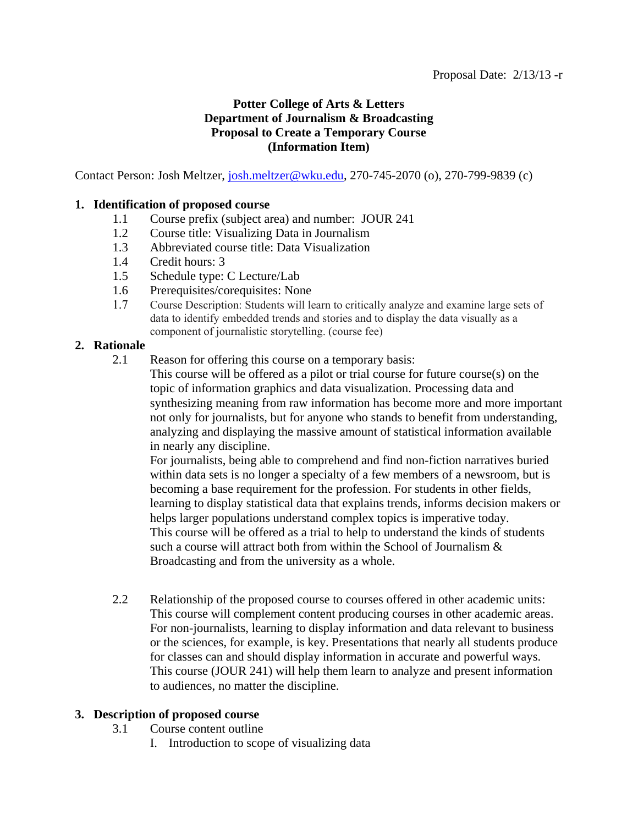# **Potter College of Arts & Letters Department of Journalism & Broadcasting Proposal to Create a Temporary Course (Information Item)**

Contact Person: Josh Meltzer, [josh.meltzer@wku.edu,](mailto:Josh.meltzer@wku.edu) 270-745-2070 (o), 270-799-9839 (c)

## **1. Identification of proposed course**

- 1.1 Course prefix (subject area) and number: JOUR 241
- 1.2 Course title: Visualizing Data in Journalism
- 1.3 Abbreviated course title: Data Visualization
- 1.4 Credit hours: 3
- 1.5 Schedule type: C Lecture/Lab
- 1.6 Prerequisites/corequisites: None
- 1.7 Course Description: Students will learn to critically analyze and examine large sets of data to identify embedded trends and stories and to display the data visually as a component of journalistic storytelling. (course fee)

## **2. Rationale**

2.1 Reason for offering this course on a temporary basis:

This course will be offered as a pilot or trial course for future course(s) on the topic of information graphics and data visualization. Processing data and synthesizing meaning from raw information has become more and more important not only for journalists, but for anyone who stands to benefit from understanding, analyzing and displaying the massive amount of statistical information available in nearly any discipline.

For journalists, being able to comprehend and find non-fiction narratives buried within data sets is no longer a specialty of a few members of a newsroom, but is becoming a base requirement for the profession. For students in other fields, learning to display statistical data that explains trends, informs decision makers or helps larger populations understand complex topics is imperative today. This course will be offered as a trial to help to understand the kinds of students such a course will attract both from within the School of Journalism & Broadcasting and from the university as a whole.

2.2 Relationship of the proposed course to courses offered in other academic units: This course will complement content producing courses in other academic areas. For non-journalists, learning to display information and data relevant to business or the sciences, for example, is key. Presentations that nearly all students produce for classes can and should display information in accurate and powerful ways. This course (JOUR 241) will help them learn to analyze and present information to audiences, no matter the discipline.

# **3. Description of proposed course**

- 3.1 Course content outline
	- I. Introduction to scope of visualizing data